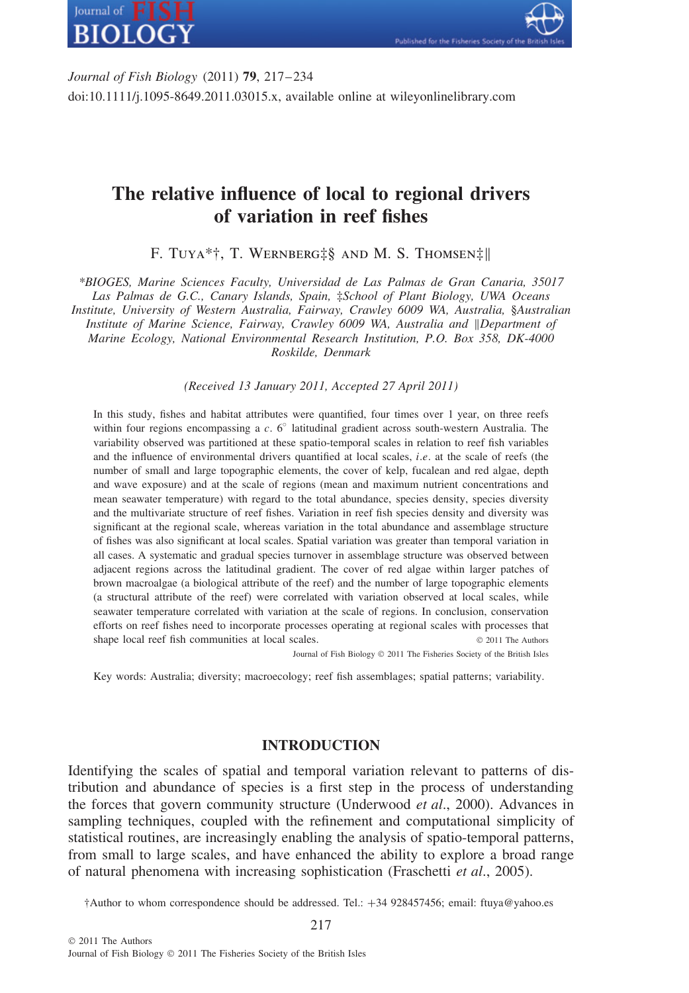



*Journal of Fish Biology* (2011) **79**, 217–234 doi:10.1111/j.1095-8649.2011.03015.x, available online at wileyonlinelibrary.com

# **The relative influence of local to regional drivers of variation in reef fishes**

F. Tuya\*†, T. Wernberg $\ddagger\$  and M. S. Thomsen $\ddagger\parallel$ 

*\*BIOGES, Marine Sciences Faculty, Universidad de Las Palmas de Gran Canaria, 35017 Las Palmas de G.C., Canary Islands, Spain,* ‡*School of Plant Biology, UWA Oceans Institute, University of Western Australia, Fairway, Crawley 6009 WA, Australia,* §*Australian Institute of Marine Science, Fairway, Crawley 6009 WA, Australia and <i>P Department of Marine Ecology, National Environmental Research Institution, P.O. Box 358, DK-4000 Roskilde, Denmark*

*(Received 13 January 2011, Accepted 27 April 2011)*

In this study, fishes and habitat attributes were quantified, four times over 1 year, on three reefs within four regions encompassing a *c*. 6<sup>°</sup> latitudinal gradient across south-western Australia. The variability observed was partitioned at these spatio-temporal scales in relation to reef fish variables and the influence of environmental drivers quantified at local scales, *i.e.* at the scale of reefs (the number of small and large topographic elements, the cover of kelp, fucalean and red algae, depth and wave exposure) and at the scale of regions (mean and maximum nutrient concentrations and mean seawater temperature) with regard to the total abundance, species density, species diversity and the multivariate structure of reef fishes. Variation in reef fish species density and diversity was significant at the regional scale, whereas variation in the total abundance and assemblage structure of fishes was also significant at local scales. Spatial variation was greater than temporal variation in all cases. A systematic and gradual species turnover in assemblage structure was observed between adjacent regions across the latitudinal gradient. The cover of red algae within larger patches of brown macroalgae (a biological attribute of the reef) and the number of large topographic elements (a structural attribute of the reef) were correlated with variation observed at local scales, while seawater temperature correlated with variation at the scale of regions. In conclusion, conservation efforts on reef fishes need to incorporate processes operating at regional scales with processes that shape local reef fish communities at local scales.  $\otimes$  2011 The Authors

Journal of Fish Biology © 2011 The Fisheries Society of the British Isles

Key words: Australia; diversity; macroecology; reef fish assemblages; spatial patterns; variability.

# **INTRODUCTION**

Identifying the scales of spatial and temporal variation relevant to patterns of distribution and abundance of species is a first step in the process of understanding the forces that govern community structure (Underwood *et al*., 2000). Advances in sampling techniques, coupled with the refinement and computational simplicity of statistical routines, are increasingly enabling the analysis of spatio-temporal patterns, from small to large scales, and have enhanced the ability to explore a broad range of natural phenomena with increasing sophistication (Fraschetti *et al*., 2005).

†Author to whom correspondence should be addressed. Tel.: +34 928457456; email: ftuya@yahoo.es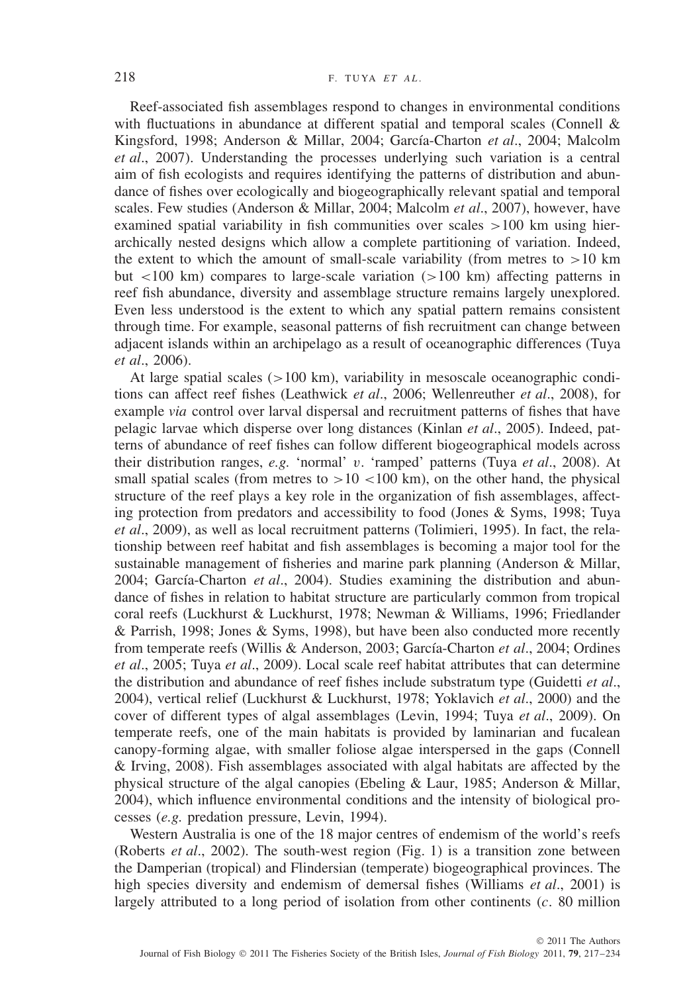Reef-associated fish assemblages respond to changes in environmental conditions with fluctuations in abundance at different spatial and temporal scales (Connell & Kingsford, 1998; Anderson & Millar, 2004; García-Charton *et al*., 2004; Malcolm *et al*., 2007). Understanding the processes underlying such variation is a central aim of fish ecologists and requires identifying the patterns of distribution and abundance of fishes over ecologically and biogeographically relevant spatial and temporal scales. Few studies (Anderson & Millar, 2004; Malcolm *et al*., 2007), however, have examined spatial variability in fish communities over scales *>*100 km using hierarchically nested designs which allow a complete partitioning of variation. Indeed, the extent to which the amount of small-scale variability (from metres to  $>10$  km but *<*100 km) compares to large-scale variation (*>*100 km) affecting patterns in reef fish abundance, diversity and assemblage structure remains largely unexplored. Even less understood is the extent to which any spatial pattern remains consistent through time. For example, seasonal patterns of fish recruitment can change between adjacent islands within an archipelago as a result of oceanographic differences (Tuya *et al*., 2006).

At large spatial scales (*>*100 km), variability in mesoscale oceanographic conditions can affect reef fishes (Leathwick *et al*., 2006; Wellenreuther *et al*., 2008), for example *via* control over larval dispersal and recruitment patterns of fishes that have pelagic larvae which disperse over long distances (Kinlan *et al*., 2005). Indeed, patterns of abundance of reef fishes can follow different biogeographical models across their distribution ranges, *e.g.* 'normal' *v*. 'ramped' patterns (Tuya *et al*., 2008). At small spatial scales (from metres to  $>10$   $<$  100 km), on the other hand, the physical structure of the reef plays a key role in the organization of fish assemblages, affecting protection from predators and accessibility to food (Jones & Syms, 1998; Tuya *et al*., 2009), as well as local recruitment patterns (Tolimieri, 1995). In fact, the relationship between reef habitat and fish assemblages is becoming a major tool for the sustainable management of fisheries and marine park planning (Anderson & Millar, 2004; García-Charton *et al*., 2004). Studies examining the distribution and abundance of fishes in relation to habitat structure are particularly common from tropical coral reefs (Luckhurst & Luckhurst, 1978; Newman & Williams, 1996; Friedlander & Parrish, 1998; Jones & Syms, 1998), but have been also conducted more recently from temperate reefs (Willis & Anderson, 2003; García-Charton *et al*., 2004; Ordines *et al*., 2005; Tuya *et al*., 2009). Local scale reef habitat attributes that can determine the distribution and abundance of reef fishes include substratum type (Guidetti *et al*., 2004), vertical relief (Luckhurst & Luckhurst, 1978; Yoklavich *et al*., 2000) and the cover of different types of algal assemblages (Levin, 1994; Tuya *et al*., 2009). On temperate reefs, one of the main habitats is provided by laminarian and fucalean canopy-forming algae, with smaller foliose algae interspersed in the gaps (Connell & Irving, 2008). Fish assemblages associated with algal habitats are affected by the physical structure of the algal canopies (Ebeling & Laur, 1985; Anderson & Millar, 2004), which influence environmental conditions and the intensity of biological processes (*e.g.* predation pressure, Levin, 1994).

Western Australia is one of the 18 major centres of endemism of the world's reefs (Roberts *et al*., 2002). The south-west region (Fig. 1) is a transition zone between the Damperian (tropical) and Flindersian (temperate) biogeographical provinces. The high species diversity and endemism of demersal fishes (Williams *et al*., 2001) is largely attributed to a long period of isolation from other continents (*c.* 80 million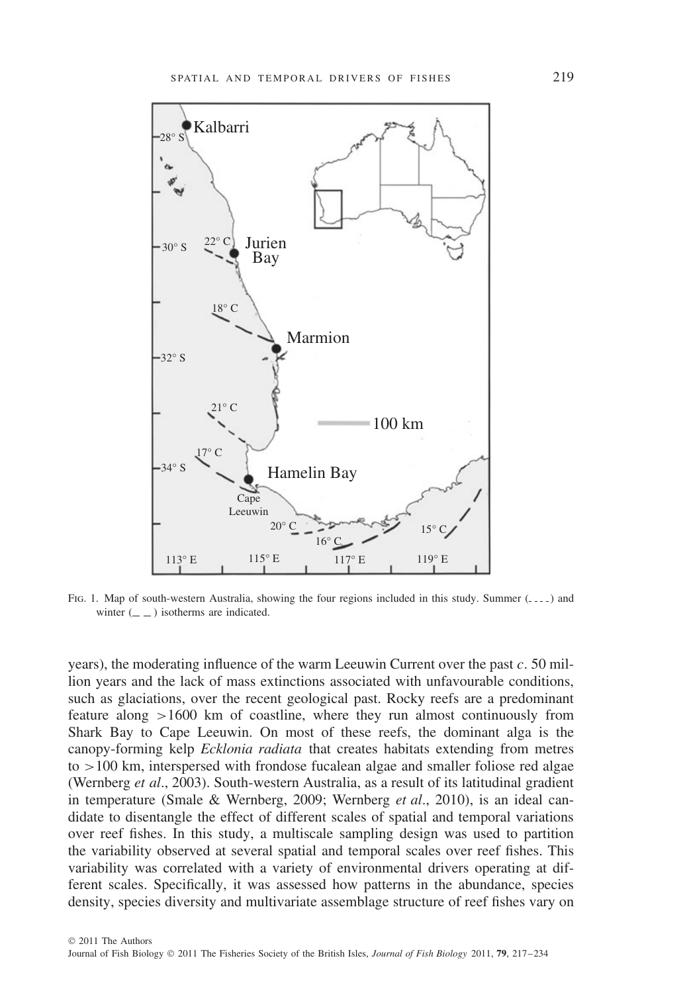

FIG. 1. Map of south-western Australia, showing the four regions included in this study. Summer  $($ winter  $($   $\_$   $\_$  ) isotherms are indicated.

years), the moderating influence of the warm Leeuwin Current over the past *c.* 50 million years and the lack of mass extinctions associated with unfavourable conditions, such as glaciations, over the recent geological past. Rocky reefs are a predominant feature along *>*1600 km of coastline, where they run almost continuously from Shark Bay to Cape Leeuwin. On most of these reefs, the dominant alga is the canopy-forming kelp *Ecklonia radiata* that creates habitats extending from metres to *>*100 km, interspersed with frondose fucalean algae and smaller foliose red algae (Wernberg *et al*., 2003). South-western Australia, as a result of its latitudinal gradient in temperature (Smale & Wernberg, 2009; Wernberg *et al*., 2010), is an ideal candidate to disentangle the effect of different scales of spatial and temporal variations over reef fishes. In this study, a multiscale sampling design was used to partition the variability observed at several spatial and temporal scales over reef fishes. This variability was correlated with a variety of environmental drivers operating at different scales. Specifically, it was assessed how patterns in the abundance, species density, species diversity and multivariate assemblage structure of reef fishes vary on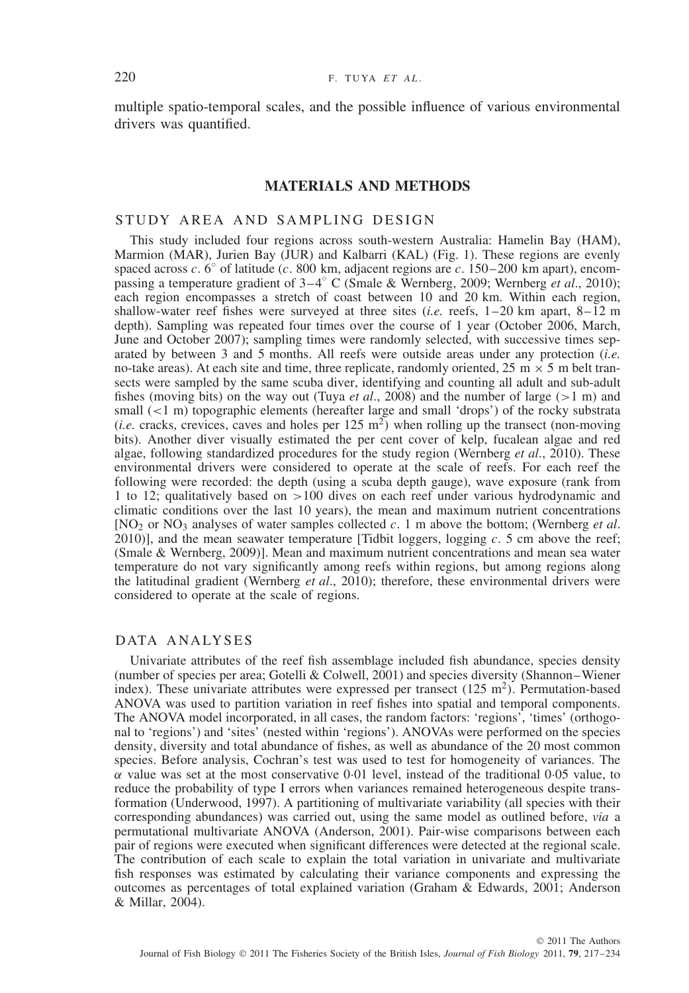multiple spatio-temporal scales, and the possible influence of various environmental drivers was quantified.

### **MATERIALS AND METHODS**

#### STUDY AREA AND SAMPLING DESIGN

This study included four regions across south-western Australia: Hamelin Bay (HAM), Marmion (MAR), Jurien Bay (JUR) and Kalbarri (KAL) (Fig. 1). These regions are evenly spaced across *c*. 6° of latitude (*c*. 800 km, adjacent regions are *c*. 150–200 km apart), encompassing a temperature gradient of 3–4◦ C (Smale & Wernberg, 2009; Wernberg *et al*., 2010); each region encompasses a stretch of coast between 10 and 20 km. Within each region, shallow-water reef fishes were surveyed at three sites (*i.e.* reefs, 1–20 km apart, 8–12 m depth). Sampling was repeated four times over the course of 1 year (October 2006, March, June and October 2007); sampling times were randomly selected, with successive times separated by between 3 and 5 months. All reefs were outside areas under any protection (*i.e.* no-take areas). At each site and time, three replicate, randomly oriented,  $25 \text{ m} \times 5 \text{ m}$  belt transects were sampled by the same scuba diver, identifying and counting all adult and sub-adult fishes (moving bits) on the way out (Tuya *et al.*, 2008) and the number of large ( $>1$  m) and small (*<*1 m) topographic elements (hereafter large and small 'drops') of the rocky substrata (*i.e.* cracks, crevices, caves and holes per  $125 \text{ m}^2$ ) when rolling up the transect (non-moving bits). Another diver visually estimated the per cent cover of kelp, fucalean algae and red algae, following standardized procedures for the study region (Wernberg *et al*., 2010). These environmental drivers were considered to operate at the scale of reefs. For each reef the following were recorded: the depth (using a scuba depth gauge), wave exposure (rank from 1 to 12; qualitatively based on *>*100 dives on each reef under various hydrodynamic and climatic conditions over the last 10 years), the mean and maximum nutrient concentrations [NO2 or NO3 analyses of water samples collected *c.* 1 m above the bottom; (Wernberg *et al*. 2010)], and the mean seawater temperature [Tidbit loggers, logging *c.* 5 cm above the reef; (Smale & Wernberg, 2009)]. Mean and maximum nutrient concentrations and mean sea water temperature do not vary significantly among reefs within regions, but among regions along the latitudinal gradient (Wernberg *et al*., 2010); therefore, these environmental drivers were considered to operate at the scale of regions.

#### DATA ANALYSES

Univariate attributes of the reef fish assemblage included fish abundance, species density (number of species per area; Gotelli & Colwell, 2001) and species diversity (Shannon–Wiener index). These univariate attributes were expressed per transect  $(125 \text{ m}^2)$ . Permutation-based ANOVA was used to partition variation in reef fishes into spatial and temporal components. The ANOVA model incorporated, in all cases, the random factors: 'regions', 'times' (orthogonal to 'regions') and 'sites' (nested within 'regions'). ANOVAs were performed on the species density, diversity and total abundance of fishes, as well as abundance of the 20 most common species. Before analysis, Cochran's test was used to test for homogeneity of variances. The *α* value was set at the most conservative 0·01 level, instead of the traditional 0·05 value, to reduce the probability of type I errors when variances remained heterogeneous despite transformation (Underwood, 1997). A partitioning of multivariate variability (all species with their corresponding abundances) was carried out, using the same model as outlined before, *via* a permutational multivariate ANOVA (Anderson, 2001). Pair-wise comparisons between each pair of regions were executed when significant differences were detected at the regional scale. The contribution of each scale to explain the total variation in univariate and multivariate fish responses was estimated by calculating their variance components and expressing the outcomes as percentages of total explained variation (Graham & Edwards, 2001; Anderson & Millar, 2004).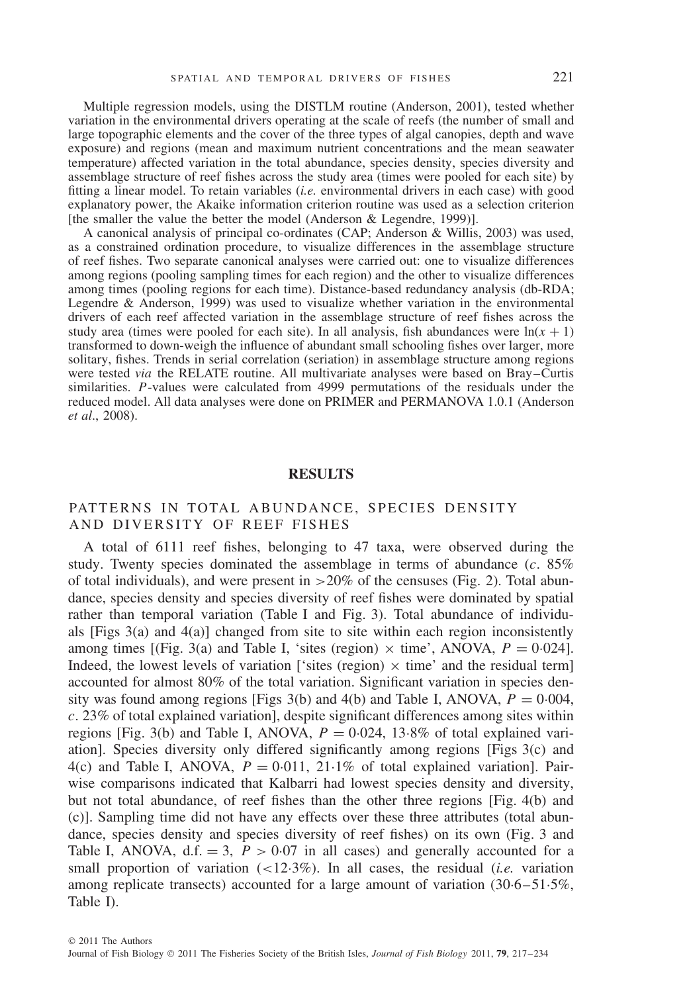Multiple regression models, using the DISTLM routine (Anderson, 2001), tested whether variation in the environmental drivers operating at the scale of reefs (the number of small and large topographic elements and the cover of the three types of algal canopies, depth and wave exposure) and regions (mean and maximum nutrient concentrations and the mean seawater temperature) affected variation in the total abundance, species density, species diversity and assemblage structure of reef fishes across the study area (times were pooled for each site) by fitting a linear model. To retain variables (*i.e.* environmental drivers in each case) with good explanatory power, the Akaike information criterion routine was used as a selection criterion [the smaller the value the better the model (Anderson & Legendre, 1999)].

A canonical analysis of principal co-ordinates (CAP; Anderson & Willis, 2003) was used, as a constrained ordination procedure, to visualize differences in the assemblage structure of reef fishes. Two separate canonical analyses were carried out: one to visualize differences among regions (pooling sampling times for each region) and the other to visualize differences among times (pooling regions for each time). Distance-based redundancy analysis (db-RDA; Legendre & Anderson, 1999) was used to visualize whether variation in the environmental drivers of each reef affected variation in the assemblage structure of reef fishes across the study area (times were pooled for each site). In all analysis, fish abundances were  $ln(x + 1)$ transformed to down-weigh the influence of abundant small schooling fishes over larger, more solitary, fishes. Trends in serial correlation (seriation) in assemblage structure among regions were tested *via* the RELATE routine. All multivariate analyses were based on Bray–Curtis similarities. *P*-values were calculated from 4999 permutations of the residuals under the reduced model. All data analyses were done on PRIMER and PERMANOVA 1.0.1 (Anderson *et al*., 2008).

#### **RESULTS**

## PATTERNS IN TOTAL ABUNDANCE, SPECIES DENSITY AND DIVERSITY OF REEF FISHES

A total of 6111 reef fishes, belonging to 47 taxa, were observed during the study. Twenty species dominated the assemblage in terms of abundance (*c.* 85% of total individuals), and were present in *>*20% of the censuses (Fig. 2). Total abundance, species density and species diversity of reef fishes were dominated by spatial rather than temporal variation (Table I and Fig. 3). Total abundance of individuals [Figs  $3(a)$  and  $4(a)$ ] changed from site to site within each region inconsistently among times [(Fig. 3(a) and Table I, 'sites (region)  $\times$  time', ANOVA,  $P = 0.024$ ]. Indeed, the lowest levels of variation ['sites (region)  $\times$  time' and the residual term] accounted for almost 80% of the total variation. Significant variation in species density was found among regions [Figs 3(b) and 4(b) and Table I, ANOVA,  $P = 0.004$ , *c.* 23% of total explained variation], despite significant differences among sites within regions [Fig. 3(b) and Table I, ANOVA,  $P = 0.024$ , 13.8% of total explained variation]. Species diversity only differed significantly among regions [Figs 3(c) and 4(c) and Table I, ANOVA,  $P = 0.011$ , 21.1% of total explained variation. Pairwise comparisons indicated that Kalbarri had lowest species density and diversity, but not total abundance, of reef fishes than the other three regions [Fig. 4(b) and (c)]. Sampling time did not have any effects over these three attributes (total abundance, species density and species diversity of reef fishes) on its own (Fig. 3 and Table I, ANOVA,  $d.f. = 3$ ,  $P > 0.07$  in all cases) and generally accounted for a small proportion of variation (*<*12·3%). In all cases, the residual (*i.e.* variation among replicate transects) accounted for a large amount of variation  $(30.6-51.5\%$ , Table I).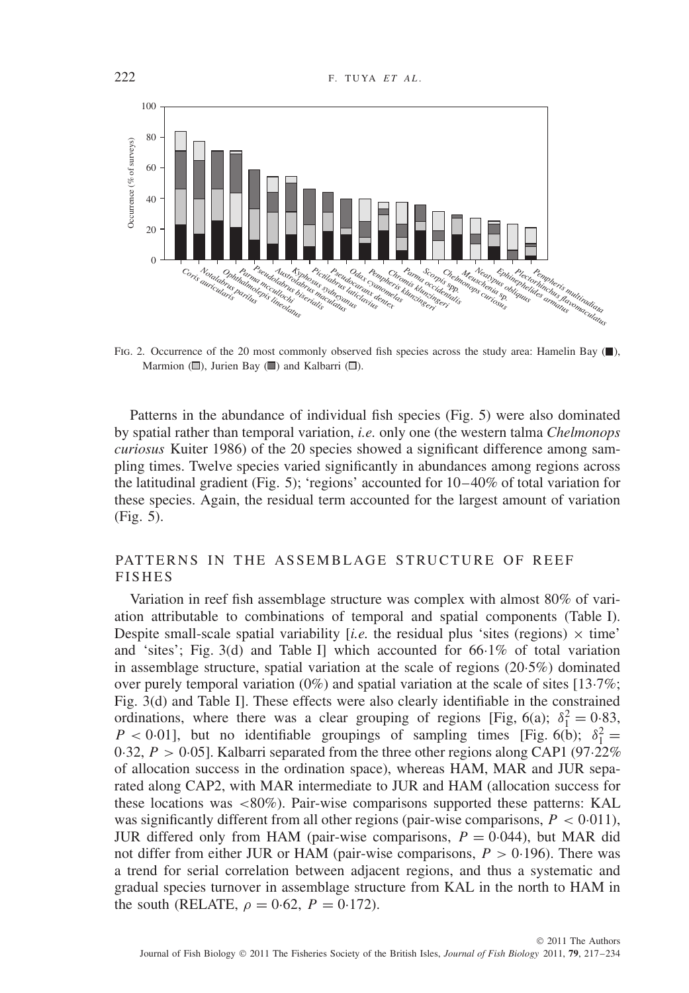

Fig. 2. Occurrence of the 20 most commonly observed fish species across the study area: Hamelin Bay  $(\blacksquare)$ , Marmion ( $\Box$ ), Jurien Bay ( $\Box$ ) and Kalbarri ( $\Box$ ).

Patterns in the abundance of individual fish species (Fig. 5) were also dominated by spatial rather than temporal variation, *i.e.* only one (the western talma *Chelmonops curiosus* Kuiter 1986) of the 20 species showed a significant difference among sampling times. Twelve species varied significantly in abundances among regions across the latitudinal gradient (Fig. 5); 'regions' accounted for 10–40% of total variation for these species. Again, the residual term accounted for the largest amount of variation (Fig. 5).

# PATTERNS IN THE ASSEMBLAGE STRUCTURE OF REEF FISHES

Variation in reef fish assemblage structure was complex with almost 80% of variation attributable to combinations of temporal and spatial components (Table I). Despite small-scale spatial variability [*i.e.* the residual plus 'sites (regions)  $\times$  time' and 'sites'; Fig. 3(d) and Table I] which accounted for  $66.1\%$  of total variation in assemblage structure, spatial variation at the scale of regions (20·5%) dominated over purely temporal variation  $(0\%)$  and spatial variation at the scale of sites [13·7%; Fig. 3(d) and Table I]. These effects were also clearly identifiable in the constrained ordinations, where there was a clear grouping of regions [Fig, 6(a);  $\delta_1^2 = 0.83$ ,  $P < 0.01$ ], but no identifiable groupings of sampling times [Fig. 6(b);  $\delta_1^2 =$ 0·32, *P >* 0·05]. Kalbarri separated from the three other regions along CAP1 (97·22% of allocation success in the ordination space), whereas HAM, MAR and JUR separated along CAP2, with MAR intermediate to JUR and HAM (allocation success for these locations was *<*80%). Pair-wise comparisons supported these patterns: KAL was significantly different from all other regions (pair-wise comparisons,  $P < 0.011$ ), JUR differed only from HAM (pair-wise comparisons,  $P = 0.044$ ), but MAR did not differ from either JUR or HAM (pair-wise comparisons,  $P > 0.196$ ). There was a trend for serial correlation between adjacent regions, and thus a systematic and gradual species turnover in assemblage structure from KAL in the north to HAM in the south (RELATE,  $\rho = 0.62$ ,  $P = 0.172$ ).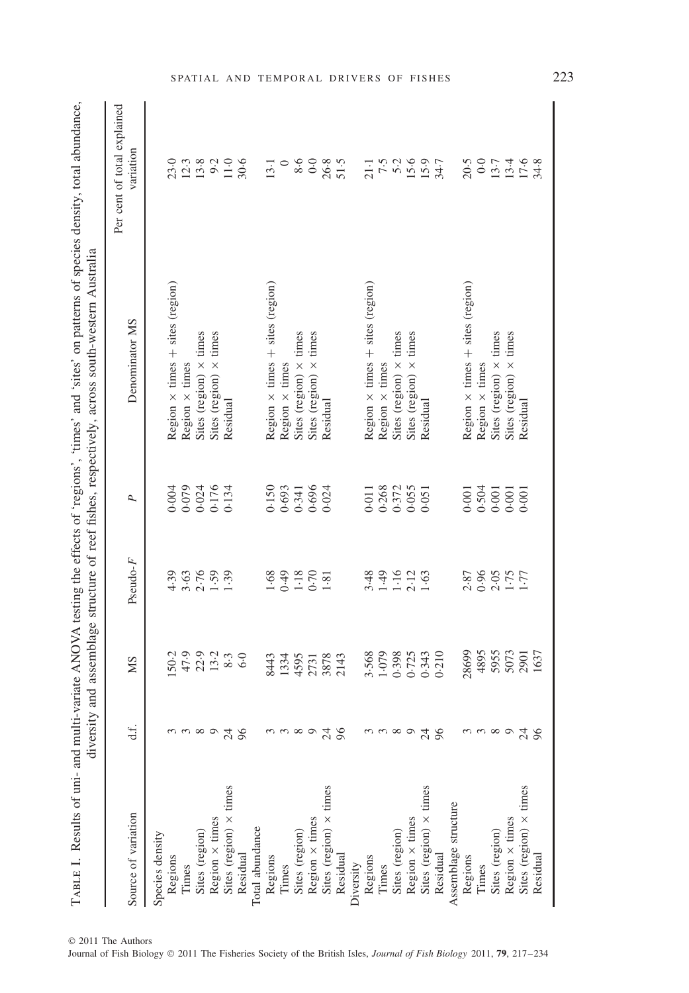| $5 - 7$                                                                                                                                                                                                                                                    |                                                                                                                                                                                 |
|------------------------------------------------------------------------------------------------------------------------------------------------------------------------------------------------------------------------------------------------------------|---------------------------------------------------------------------------------------------------------------------------------------------------------------------------------|
| ve caracter certains for contracted and contracted in the contracted of the contracted in the contracted of the contracted in the contracted of the contracted of the contracted of the contracted of the contracted of the co<br>$\frac{1}{2}$<br>ີ<br>r. | くうもくしょ<br>زار<br>:                                                                                                                                                              |
| <b>TIMA</b><br>į<br>l<br>いへいい<br>$\frac{1}{2}$<br>ĺ<br>م<br>په<br>į<br>j<br>$\frac{1}{2}$<br>i<br>י וייר מי דוד דודר<br>į<br>ļ<br>.<br>.<br>ļ<br>-- - -                                                                                                    | $\ddot{\ }$<br>$5 - 5 - 7$<br>$\sum_{i=1}^{n}$<br><b>122.123.12</b><br>ţ<br>is a series of the control<br>$\ddot{\phantom{a}}$<br>anu ar<br><b>CONTECTS</b><br>5<br>5<br>2<br>j |
| I                                                                                                                                                                                                                                                          |                                                                                                                                                                                 |

| Source of variation           |                        | <b>NS</b>                                 |                                      |                                          |                                          | Per cent of total explained            |
|-------------------------------|------------------------|-------------------------------------------|--------------------------------------|------------------------------------------|------------------------------------------|----------------------------------------|
|                               | d.f.                   |                                           | Pseudo-F                             | P,                                       | Denominator MS                           | variation                              |
| Species density               |                        |                                           |                                      |                                          |                                          |                                        |
| Regions                       |                        | 50.2                                      |                                      |                                          | Region $\times$ times $+$ sites (region) | 23.0                                   |
| Times                         |                        |                                           |                                      |                                          | Region $\times$ times                    |                                        |
| Sites (region)                | $m \n  m \n  m$        |                                           | $300509$<br>$400190$                 | 4004<br>0.073<br>0.074<br>0.176<br>0.134 | Sites (region) $\times$ times            | 13.8000000000                          |
| Region $\times$ times         |                        |                                           |                                      |                                          | Sites (region) $\times$ times            |                                        |
| Sites (region) $\times$ times | $\overline{24}$        |                                           |                                      |                                          | Residual                                 |                                        |
| Residual                      | 96                     |                                           |                                      |                                          |                                          |                                        |
| Total abundance               |                        |                                           |                                      |                                          |                                          |                                        |
| Regions                       |                        | 8443                                      |                                      |                                          | Region $\times$ times $+$ sites (region) | $13-1$                                 |
| Times                         |                        |                                           |                                      |                                          | Region $\times$ times                    | $\circ$                                |
| Sites (region)                | $m, m, \infty, \infty$ | 1334<br>4595                              |                                      |                                          | Sites (region) $\times$ times            | 9.8                                    |
| Region $\times$ times         |                        | 2731                                      | $1.89$<br>0.49<br>1.81<br>1.81       | $0.150$<br>$0.693$<br>$0.341$<br>$0.696$ | Sites (region) $\times$ times            | 0.0                                    |
| Sites (region) $\times$ times | 24                     | 3878<br>2143                              |                                      | 0.024                                    | Residual                                 |                                        |
| Residual                      | 96                     |                                           |                                      |                                          |                                          | 26.8<br>51.5                           |
| Diversity                     |                        |                                           |                                      |                                          |                                          |                                        |
| Regions                       |                        |                                           |                                      |                                          | Region $\times$ times $+$ sites (region) |                                        |
| Times                         |                        |                                           |                                      |                                          | Region $\times$ times                    |                                        |
| Sites (region)                | $\omega \approx 0$     | 3.568<br>1.079<br>0.398<br>0.343<br>0.313 | $3499200$<br>$-1200$                 | 0.011<br>0.268<br>0.372<br>0.055         | Sites (region) $\times$ times            | $71.75$<br>$75.26$<br>$15.7$<br>$15.7$ |
| Region $\times$ times         |                        |                                           |                                      |                                          | Sites (region) $\times$ times            |                                        |
| Sites (region) $\times$ times | 24                     |                                           |                                      | 0.051                                    | Residual                                 |                                        |
| Residual                      | 96                     |                                           |                                      |                                          |                                          |                                        |
| Assemblage structure          |                        |                                           |                                      |                                          |                                          |                                        |
| Regions                       |                        | 28699                                     |                                      |                                          | Region $\times$ times $+$ sites (region) | 20.5                                   |
| Times                         |                        | 4895                                      |                                      |                                          | Region $\times$ times                    |                                        |
| Sites (region)                | $m \n  m$              | 5955                                      | $2.87$<br>$2.96$<br>$2.17$<br>$1.77$ | $0.504$<br>$0.504$<br>$0.001$            | Sites (region) $\times$ times            |                                        |
| Region $\times$ times         |                        | 5073<br>2901                              |                                      |                                          | times<br>Sites (region) $\times$         |                                        |
| Sites (region) $\times$ times | 24                     |                                           |                                      | 0.001                                    | Residual                                 | 0.011.68<br>0.011.68                   |
| Residual                      | 96                     | 1637                                      |                                      |                                          |                                          |                                        |
|                               |                        |                                           |                                      |                                          |                                          |                                        |

© 2011 The Authors

Journal of Fish Biology © 2011 The Fisheries Society of the British Isles, *Journal of Fish Biology* 2011, **79**, 217–234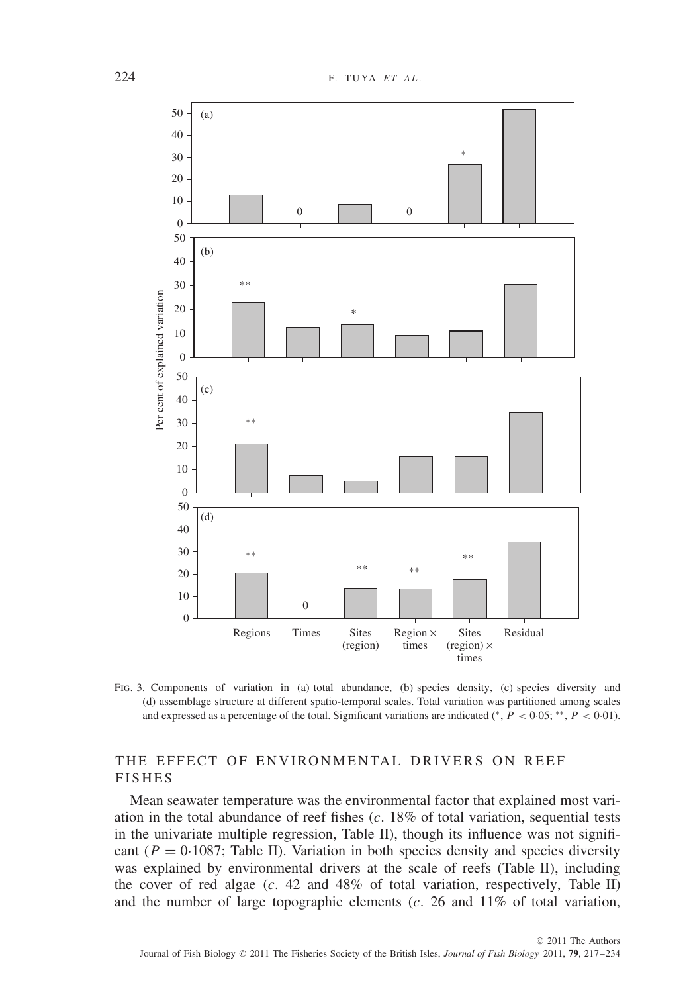

Fig. 3. Components of variation in (a) total abundance, (b) species density, (c) species diversity and (d) assemblage structure at different spatio-temporal scales. Total variation was partitioned among scales and expressed as a percentage of the total. Significant variations are indicated (∗, *P <* 0·05; ∗∗, *P <* 0·01).

# THE EFFECT OF ENVIRONMENTAL DRIVERS ON REEF FISHES

Mean seawater temperature was the environmental factor that explained most variation in the total abundance of reef fishes (*c.* 18% of total variation, sequential tests in the univariate multiple regression, Table II), though its influence was not significant ( $P = 0.1087$ ; Table II). Variation in both species density and species diversity was explained by environmental drivers at the scale of reefs (Table II), including the cover of red algae  $(c. 42 \text{ and } 48\% \text{ of total variation, respectively, Table II})$ and the number of large topographic elements (*c.* 26 and 11% of total variation,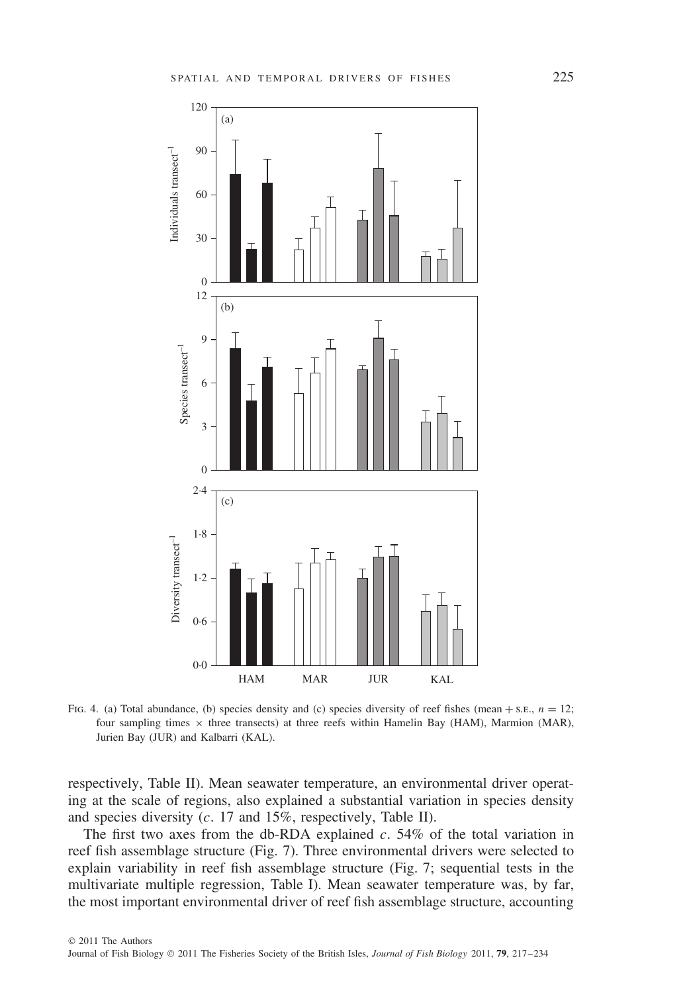

FIG. 4. (a) Total abundance, (b) species density and (c) species diversity of reef fishes (mean + s.e.,  $n = 12$ ; four sampling times  $\times$  three transects) at three reefs within Hamelin Bay (HAM), Marmion (MAR), Jurien Bay (JUR) and Kalbarri (KAL).

respectively, Table II). Mean seawater temperature, an environmental driver operating at the scale of regions, also explained a substantial variation in species density and species diversity (*c.* 17 and 15%, respectively, Table II).

The first two axes from the db-RDA explained *c.* 54% of the total variation in reef fish assemblage structure (Fig. 7). Three environmental drivers were selected to explain variability in reef fish assemblage structure (Fig. 7; sequential tests in the multivariate multiple regression, Table I). Mean seawater temperature was, by far, the most important environmental driver of reef fish assemblage structure, accounting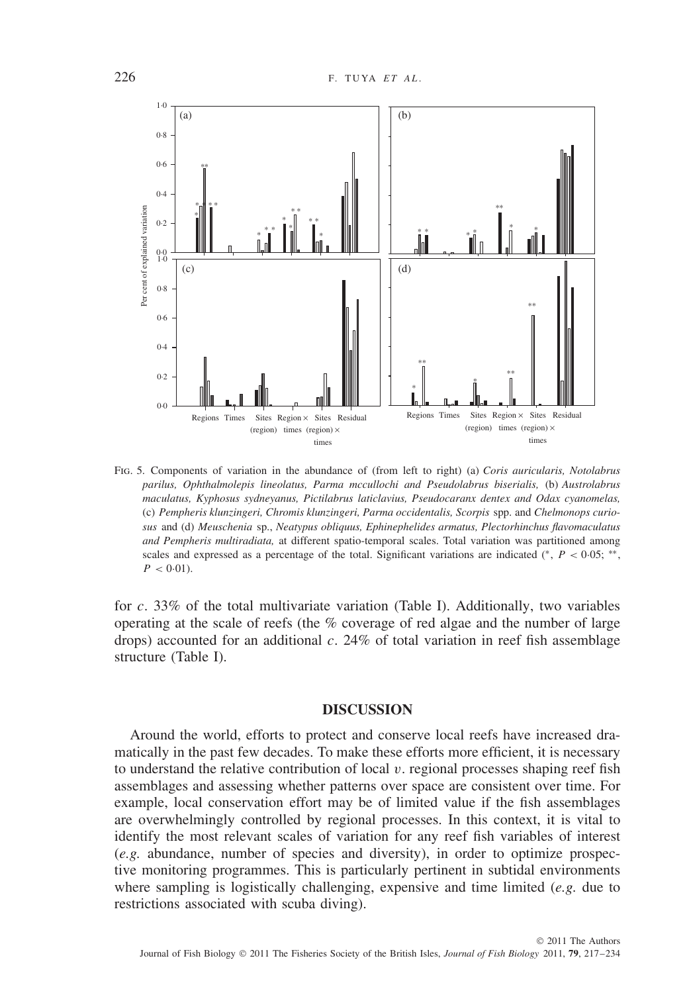

Fig. 5. Components of variation in the abundance of (from left to right) (a) *Coris auricularis, Notolabrus parilus, Ophthalmolepis lineolatus, Parma mccullochi and Pseudolabrus biserialis,* (b) *Austrolabrus maculatus, Kyphosus sydneyanus, Pictilabrus laticlavius, Pseudocaranx dentex and Odax cyanomelas,* (c) *Pempheris klunzingeri, Chromis klunzingeri, Parma occidentalis, Scorpis* spp. and *Chelmonops curiosus* and (d) *Meuschenia* sp., *Neatypus obliquus, Ephinephelides armatus, Plectorhinchus flavomaculatus and Pempheris multiradiata,* at different spatio-temporal scales. Total variation was partitioned among scales and expressed as a percentage of the total. Significant variations are indicated ( $*, P < 0.05; **$ ,  $P < 0.01$ ).

for *c.* 33% of the total multivariate variation (Table I). Additionally, two variables operating at the scale of reefs (the % coverage of red algae and the number of large drops) accounted for an additional *c.* 24% of total variation in reef fish assemblage structure (Table I).

### **DISCUSSION**

Around the world, efforts to protect and conserve local reefs have increased dramatically in the past few decades. To make these efforts more efficient, it is necessary to understand the relative contribution of local  $v$ , regional processes shaping reef fish assemblages and assessing whether patterns over space are consistent over time. For example, local conservation effort may be of limited value if the fish assemblages are overwhelmingly controlled by regional processes. In this context, it is vital to identify the most relevant scales of variation for any reef fish variables of interest (*e.g.* abundance, number of species and diversity), in order to optimize prospective monitoring programmes. This is particularly pertinent in subtidal environments where sampling is logistically challenging, expensive and time limited (*e.g.* due to restrictions associated with scuba diving).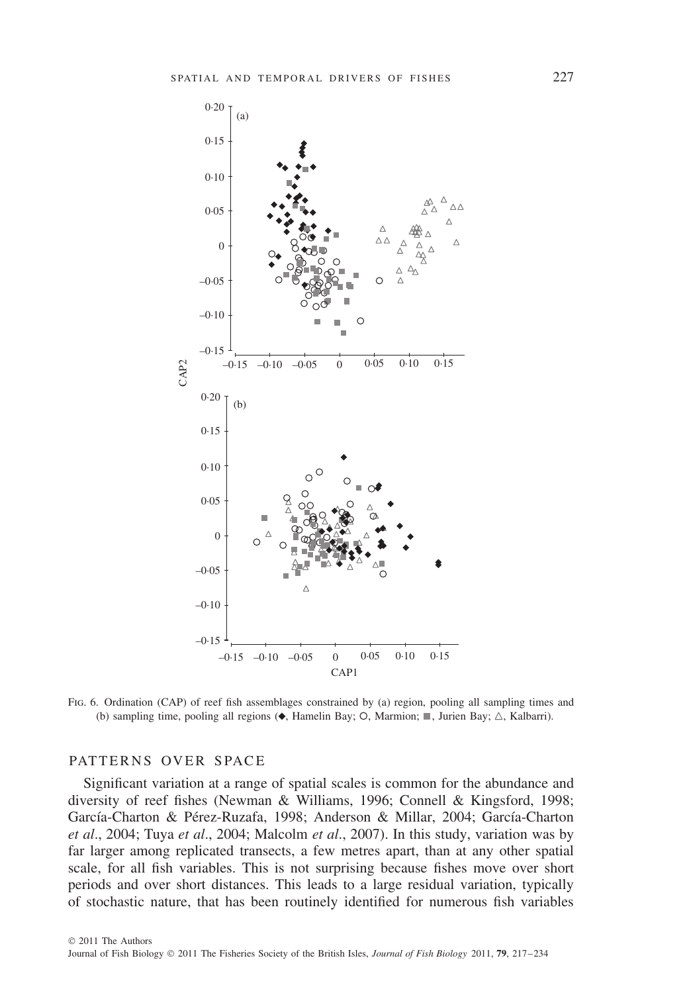

Fig. 6. Ordination (CAP) of reef fish assemblages constrained by (a) region, pooling all sampling times and (b) sampling time, pooling all regions  $(\bullet, \text{ Hamelin Bay}; \bigcirc, \text{Marmion}; \blacksquare, \text{Jurien Bay}; \triangle, \text{Kalbarri}).$ 

### PATTERNS OVER SPACE

Significant variation at a range of spatial scales is common for the abundance and diversity of reef fishes (Newman & Williams, 1996; Connell & Kingsford, 1998; García-Charton & Perez-Ruzafa, 1998; Anderson & Millar, 2004; García-Charton ´ *et al*., 2004; Tuya *et al*., 2004; Malcolm *et al*., 2007). In this study, variation was by far larger among replicated transects, a few metres apart, than at any other spatial scale, for all fish variables. This is not surprising because fishes move over short periods and over short distances. This leads to a large residual variation, typically of stochastic nature, that has been routinely identified for numerous fish variables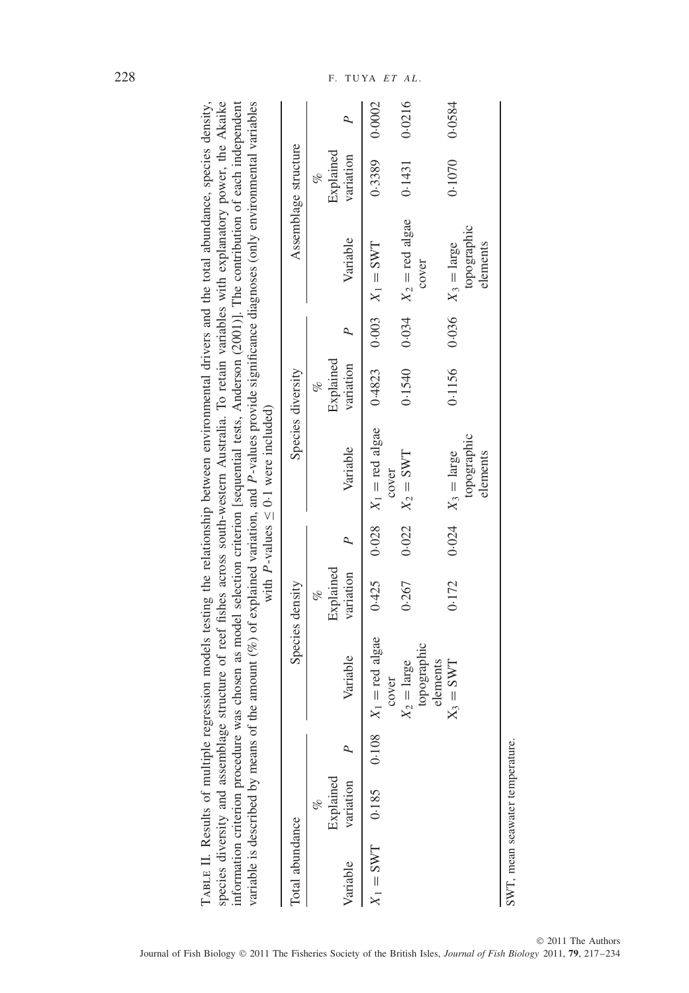|                                 |                             |       | variable is described by means of the amount $(\%)$ of explained variation, and $P$ -values provide significance diagnoses (only environmental variables<br>information criterion procedure was chosen as model selection criterion [sequential tests, Anderson (2001)]. The contribution of each independent |                             | with P-values $\leq$ 0.1 were included)                 |                        |                                                  |                             |        |
|---------------------------------|-----------------------------|-------|---------------------------------------------------------------------------------------------------------------------------------------------------------------------------------------------------------------------------------------------------------------------------------------------------------------|-----------------------------|---------------------------------------------------------|------------------------|--------------------------------------------------|-----------------------------|--------|
| Total abundance                 |                             |       |                                                                                                                                                                                                                                                                                                               | Species density             |                                                         | Species diversity      |                                                  | Assemblage structure        |        |
| Variable                        | Explained<br>variation<br>E |       | Variable                                                                                                                                                                                                                                                                                                      | Explained<br>variation<br>E | Variable                                                | Explained<br>variation | Variable                                         | Explained<br>variation<br>E | p      |
| $X_1 = \text{SWT}$              | 0.185                       | 0.108 | $X_1$ = red algae                                                                                                                                                                                                                                                                                             | 0.425                       | $0.028$ $X_1$ = red algae                               |                        | $0.4823$ $0.003$ $X_1 =$ SWT                     | 0.3389                      | 0.0002 |
|                                 |                             |       | topographic<br>$X_2 = \text{large}$<br>cover                                                                                                                                                                                                                                                                  | 0.267                       | $0.022$ $X_2 = SWT$<br>cover                            | 0.1540                 | $0.034$ $X_2$ = red algae<br>cover               | 0.1431                      | 0.0216 |
|                                 |                             |       | elements<br>$X_3 = SWT$                                                                                                                                                                                                                                                                                       | 0.172                       | topographic<br>elements<br>$0.024$ $X_3 = \text{large}$ | 0.1156                 | topographic<br>$0.036$ $X_3$ = large<br>elements | 0.1070                      | 0.0584 |
| SWT, mean seawater temperature. |                             |       |                                                                                                                                                                                                                                                                                                               |                             |                                                         |                        |                                                  |                             |        |

Table II. Results of multiple regression models testing the relationship between environmental drivers and the total abundance, species density, species diversity and assemblage structure of reef fishes across south-western Australia. To retain variables with explanatory power, the Akaike

TABLE II. Results of multiple regression models testing the relationship between environmental drivers and the total abundance, species density,

species diversity and assemblage structure of reef fishes across south-western Australia. To retain variables with explanatory power, the Akaike

228 F. TUYA *ET AL* .

© 2011 The Authors Journal of Fish Biology © 2011 The Fisheries Society of the British Isles, *Journal of Fish Biology* 2011, **79**, 217–234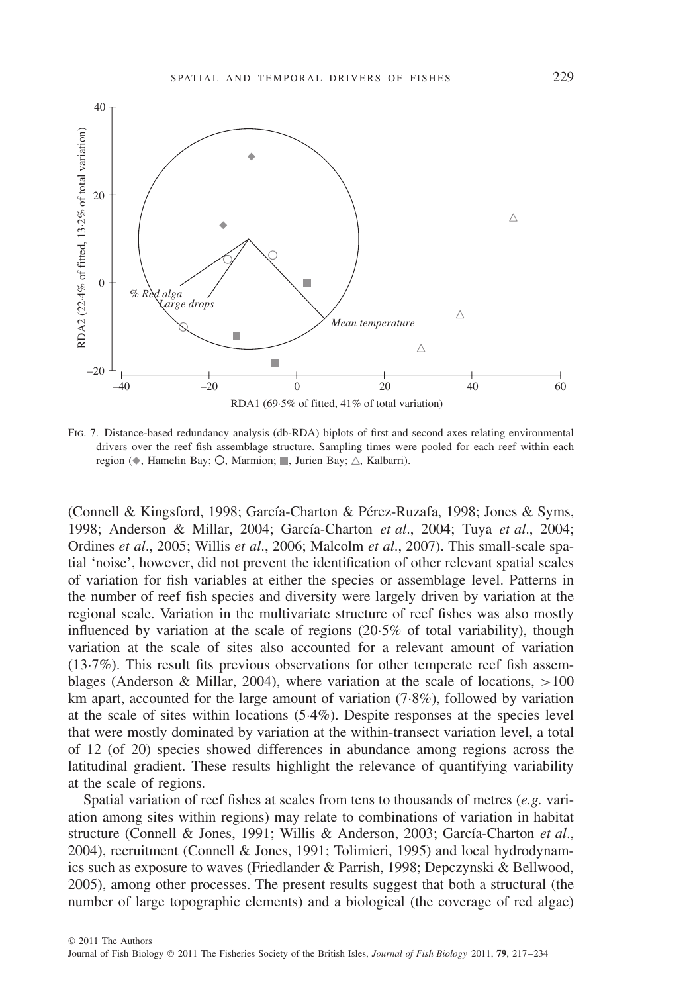

Fig. 7. Distance-based redundancy analysis (db-RDA) biplots of first and second axes relating environmental drivers over the reef fish assemblage structure. Sampling times were pooled for each reef within each region ( $\bullet$ , Hamelin Bay; O, Marmion; , Jurien Bay;  $\triangle$ , Kalbarri).

(Connell & Kingsford, 1998; García-Charton & Perez-Ruzafa, 1998; Jones & Syms, ´ 1998; Anderson & Millar, 2004; García-Charton *et al*., 2004; Tuya *et al*., 2004; Ordines *et al*., 2005; Willis *et al*., 2006; Malcolm *et al*., 2007). This small-scale spatial 'noise', however, did not prevent the identification of other relevant spatial scales of variation for fish variables at either the species or assemblage level. Patterns in the number of reef fish species and diversity were largely driven by variation at the regional scale. Variation in the multivariate structure of reef fishes was also mostly influenced by variation at the scale of regions (20·5% of total variability), though variation at the scale of sites also accounted for a relevant amount of variation (13·7%). This result fits previous observations for other temperate reef fish assemblages (Anderson & Millar, 2004), where variation at the scale of locations, *>*100 km apart, accounted for the large amount of variation (7·8%), followed by variation at the scale of sites within locations (5·4%). Despite responses at the species level that were mostly dominated by variation at the within-transect variation level, a total of 12 (of 20) species showed differences in abundance among regions across the latitudinal gradient. These results highlight the relevance of quantifying variability at the scale of regions.

Spatial variation of reef fishes at scales from tens to thousands of metres (*e.g.* variation among sites within regions) may relate to combinations of variation in habitat structure (Connell & Jones, 1991; Willis & Anderson, 2003; García-Charton *et al*., 2004), recruitment (Connell & Jones, 1991; Tolimieri, 1995) and local hydrodynamics such as exposure to waves (Friedlander & Parrish, 1998; Depczynski & Bellwood, 2005), among other processes. The present results suggest that both a structural (the number of large topographic elements) and a biological (the coverage of red algae)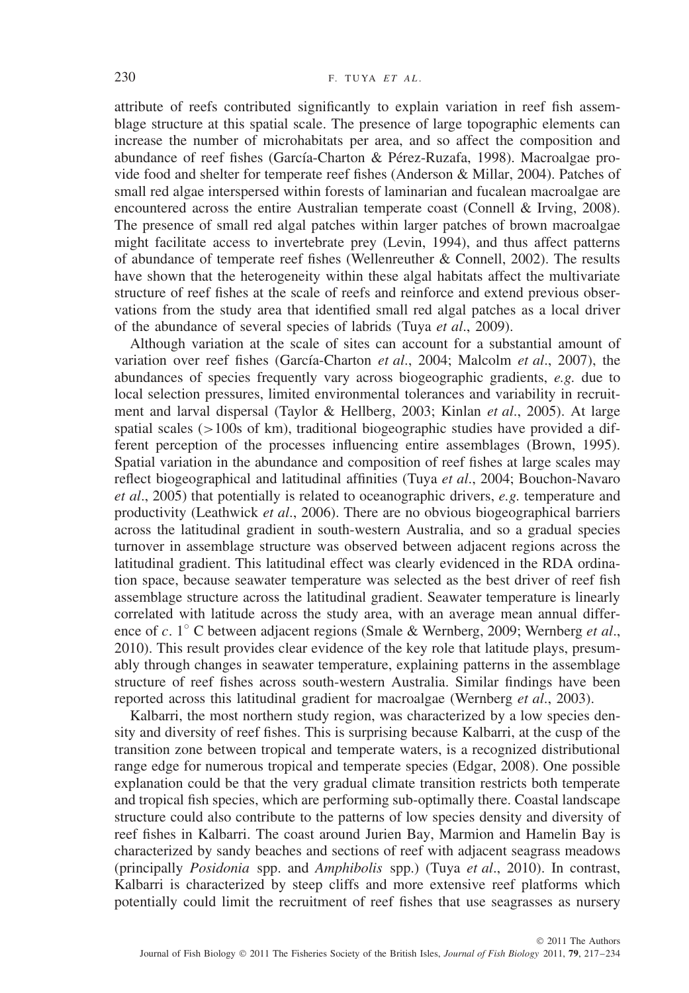attribute of reefs contributed significantly to explain variation in reef fish assemblage structure at this spatial scale. The presence of large topographic elements can increase the number of microhabitats per area, and so affect the composition and abundance of reef fishes (García-Charton & Pérez-Ruzafa, 1998). Macroalgae provide food and shelter for temperate reef fishes (Anderson & Millar, 2004). Patches of small red algae interspersed within forests of laminarian and fucalean macroalgae are encountered across the entire Australian temperate coast (Connell & Irving, 2008). The presence of small red algal patches within larger patches of brown macroalgae might facilitate access to invertebrate prey (Levin, 1994), and thus affect patterns of abundance of temperate reef fishes (Wellenreuther  $&$  Connell, 2002). The results have shown that the heterogeneity within these algal habitats affect the multivariate structure of reef fishes at the scale of reefs and reinforce and extend previous observations from the study area that identified small red algal patches as a local driver of the abundance of several species of labrids (Tuya *et al*., 2009).

Although variation at the scale of sites can account for a substantial amount of variation over reef fishes (García-Charton *et al*., 2004; Malcolm *et al*., 2007), the abundances of species frequently vary across biogeographic gradients, *e.g.* due to local selection pressures, limited environmental tolerances and variability in recruitment and larval dispersal (Taylor & Hellberg, 2003; Kinlan *et al*., 2005). At large spatial scales (*>*100s of km), traditional biogeographic studies have provided a different perception of the processes influencing entire assemblages (Brown, 1995). Spatial variation in the abundance and composition of reef fishes at large scales may reflect biogeographical and latitudinal affinities (Tuya *et al*., 2004; Bouchon-Navaro *et al*., 2005) that potentially is related to oceanographic drivers, *e.g.* temperature and productivity (Leathwick *et al*., 2006). There are no obvious biogeographical barriers across the latitudinal gradient in south-western Australia, and so a gradual species turnover in assemblage structure was observed between adjacent regions across the latitudinal gradient. This latitudinal effect was clearly evidenced in the RDA ordination space, because seawater temperature was selected as the best driver of reef fish assemblage structure across the latitudinal gradient. Seawater temperature is linearly correlated with latitude across the study area, with an average mean annual difference of *c.* 1◦ C between adjacent regions (Smale & Wernberg, 2009; Wernberg *et al*., 2010). This result provides clear evidence of the key role that latitude plays, presumably through changes in seawater temperature, explaining patterns in the assemblage structure of reef fishes across south-western Australia. Similar findings have been reported across this latitudinal gradient for macroalgae (Wernberg *et al*., 2003).

Kalbarri, the most northern study region, was characterized by a low species density and diversity of reef fishes. This is surprising because Kalbarri, at the cusp of the transition zone between tropical and temperate waters, is a recognized distributional range edge for numerous tropical and temperate species (Edgar, 2008). One possible explanation could be that the very gradual climate transition restricts both temperate and tropical fish species, which are performing sub-optimally there. Coastal landscape structure could also contribute to the patterns of low species density and diversity of reef fishes in Kalbarri. The coast around Jurien Bay, Marmion and Hamelin Bay is characterized by sandy beaches and sections of reef with adjacent seagrass meadows (principally *Posidonia* spp. and *Amphibolis* spp.) (Tuya *et al*., 2010). In contrast, Kalbarri is characterized by steep cliffs and more extensive reef platforms which potentially could limit the recruitment of reef fishes that use seagrasses as nursery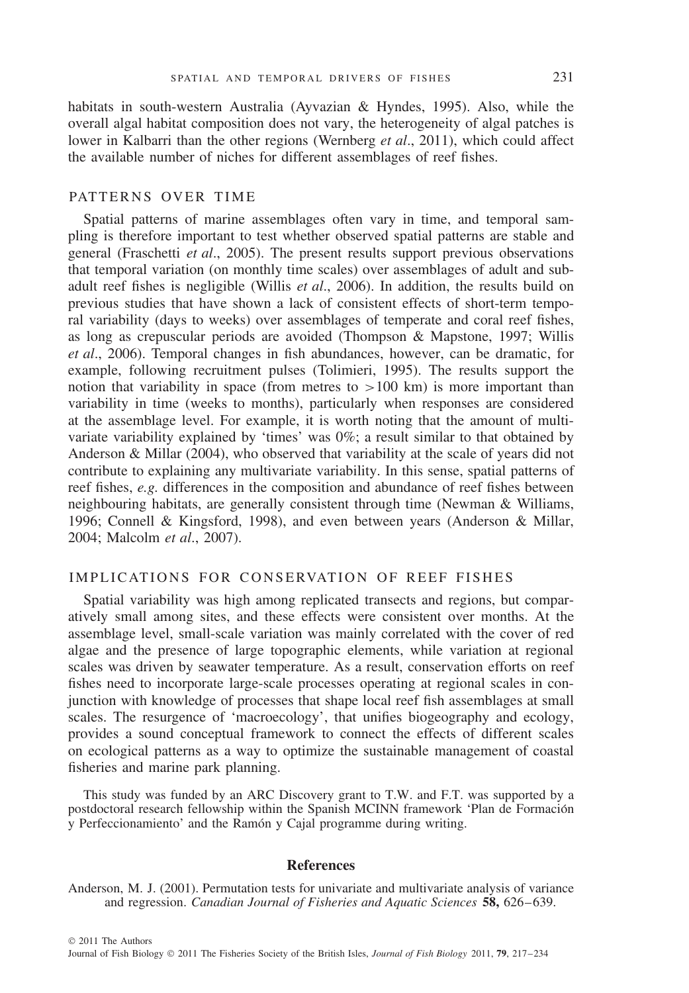habitats in south-western Australia (Ayvazian & Hyndes, 1995). Also, while the overall algal habitat composition does not vary, the heterogeneity of algal patches is lower in Kalbarri than the other regions (Wernberg *et al*., 2011), which could affect the available number of niches for different assemblages of reef fishes.

### PATTERNS OVER TIME

Spatial patterns of marine assemblages often vary in time, and temporal sampling is therefore important to test whether observed spatial patterns are stable and general (Fraschetti *et al*., 2005). The present results support previous observations that temporal variation (on monthly time scales) over assemblages of adult and subadult reef fishes is negligible (Willis *et al*., 2006). In addition, the results build on previous studies that have shown a lack of consistent effects of short-term temporal variability (days to weeks) over assemblages of temperate and coral reef fishes, as long as crepuscular periods are avoided (Thompson & Mapstone, 1997; Willis *et al*., 2006). Temporal changes in fish abundances, however, can be dramatic, for example, following recruitment pulses (Tolimieri, 1995). The results support the notion that variability in space (from metres to *>*100 km) is more important than variability in time (weeks to months), particularly when responses are considered at the assemblage level. For example, it is worth noting that the amount of multivariate variability explained by 'times' was 0%; a result similar to that obtained by Anderson & Millar (2004), who observed that variability at the scale of years did not contribute to explaining any multivariate variability. In this sense, spatial patterns of reef fishes, *e.g.* differences in the composition and abundance of reef fishes between neighbouring habitats, are generally consistent through time (Newman & Williams, 1996; Connell & Kingsford, 1998), and even between years (Anderson & Millar, 2004; Malcolm *et al*., 2007).

# IMPLICATIONS FOR CONSERVATION OF REEF FISHES

Spatial variability was high among replicated transects and regions, but comparatively small among sites, and these effects were consistent over months. At the assemblage level, small-scale variation was mainly correlated with the cover of red algae and the presence of large topographic elements, while variation at regional scales was driven by seawater temperature. As a result, conservation efforts on reef fishes need to incorporate large-scale processes operating at regional scales in conjunction with knowledge of processes that shape local reef fish assemblages at small scales. The resurgence of 'macroecology', that unifies biogeography and ecology, provides a sound conceptual framework to connect the effects of different scales on ecological patterns as a way to optimize the sustainable management of coastal fisheries and marine park planning.

This study was funded by an ARC Discovery grant to T.W. and F.T. was supported by a postdoctoral research fellowship within the Spanish MCINN framework 'Plan de Formacion´ y Perfeccionamiento' and the Ramón y Cajal programme during writing.

#### **References**

Anderson, M. J. (2001). Permutation tests for univariate and multivariate analysis of variance and regression. *Canadian Journal of Fisheries and Aquatic Sciences* **58,** 626–639.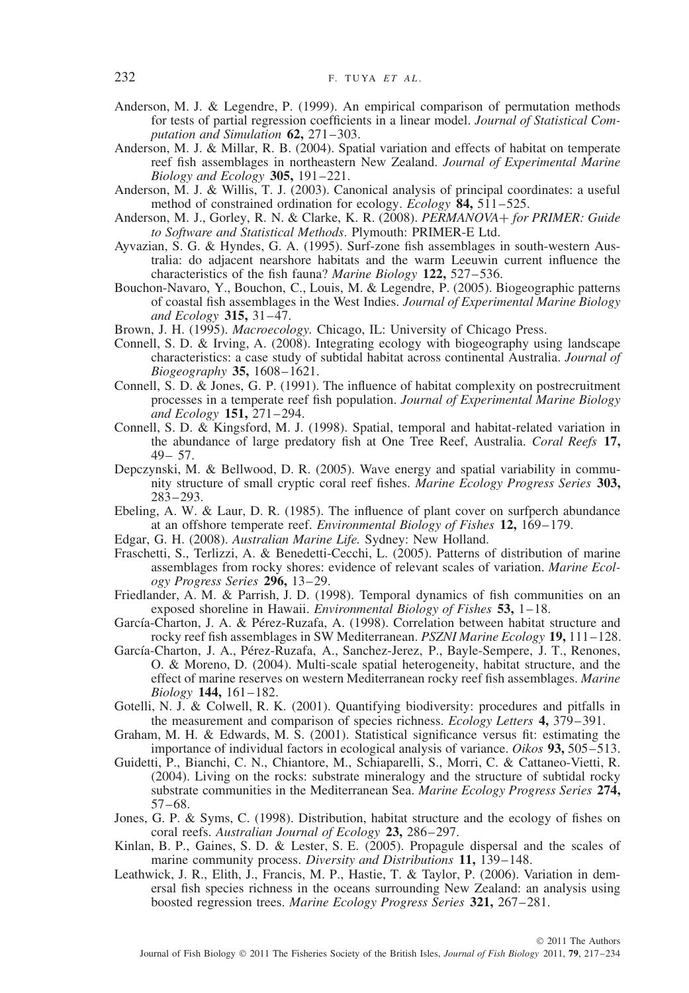- Anderson, M. J. & Legendre, P. (1999). An empirical comparison of permutation methods for tests of partial regression coefficients in a linear model. *Journal of Statistical Computation and Simulation* **62,** 271–303.
- Anderson, M. J. & Millar, R. B. (2004). Spatial variation and effects of habitat on temperate reef fish assemblages in northeastern New Zealand. *Journal of Experimental Marine Biology and Ecology* **305,** 191–221.
- Anderson, M. J. & Willis, T. J. (2003). Canonical analysis of principal coordinates: a useful method of constrained ordination for ecology. *Ecology* **84,** 511–525.
- Anderson, M. J., Gorley, R. N. & Clarke, K. R. (2008). *PERMANOVA*+ *for PRIMER: Guide to Software and Statistical Methods*. Plymouth: PRIMER-E Ltd.
- Ayvazian, S. G. & Hyndes, G. A. (1995). Surf-zone fish assemblages in south-western Australia: do adjacent nearshore habitats and the warm Leeuwin current influence the characteristics of the fish fauna? *Marine Biology* **122,** 527–536.
- Bouchon-Navaro, Y., Bouchon, C., Louis, M. & Legendre, P. (2005). Biogeographic patterns of coastal fish assemblages in the West Indies. *Journal of Experimental Marine Biology and Ecology* **315,** 31–47.

Brown, J. H. (1995). *Macroecology.* Chicago, IL: University of Chicago Press.

- Connell, S. D. & Irving, A. (2008). Integrating ecology with biogeography using landscape characteristics: a case study of subtidal habitat across continental Australia. *Journal of Biogeography* **35,** 1608–1621.
- Connell, S. D. & Jones, G. P. (1991). The influence of habitat complexity on postrecruitment processes in a temperate reef fish population. *Journal of Experimental Marine Biology and Ecology* **151,** 271–294.
- Connell, S. D. & Kingsford, M. J. (1998). Spatial, temporal and habitat-related variation in the abundance of large predatory fish at One Tree Reef, Australia. *Coral Reefs* **17,** 49– 57.
- Depczynski, M. & Bellwood, D. R. (2005). Wave energy and spatial variability in community structure of small cryptic coral reef fishes. *Marine Ecology Progress Series* **303,** 283–293.
- Ebeling, A. W. & Laur, D. R. (1985). The influence of plant cover on surfperch abundance at an offshore temperate reef. *Environmental Biology of Fishes* **12,** 169–179.
- Edgar, G. H. (2008). *Australian Marine Life.* Sydney: New Holland.
- Fraschetti, S., Terlizzi, A. & Benedetti-Cecchi, L. (2005). Patterns of distribution of marine assemblages from rocky shores: evidence of relevant scales of variation. *Marine Ecology Progress Series* **296,** 13–29.
- Friedlander, A. M. & Parrish, J. D. (1998). Temporal dynamics of fish communities on an exposed shoreline in Hawaii. *Environmental Biology of Fishes* **53,** 1–18.
- García-Charton, J. A. & Perez-Ruzafa, A. (1998). Correlation between habitat structure and ´ rocky reef fish assemblages in SW Mediterranean. *PSZNI Marine Ecology* **19,** 111–128.
- García-Charton, J. A., Perez-Ruzafa, A., Sanchez-Jerez, P., Bayle-Sempere, J. T., Renones, ´ O. & Moreno, D. (2004). Multi-scale spatial heterogeneity, habitat structure, and the effect of marine reserves on western Mediterranean rocky reef fish assemblages. *Marine Biology* **144,** 161–182.
- Gotelli, N. J. & Colwell, R. K. (2001). Quantifying biodiversity: procedures and pitfalls in the measurement and comparison of species richness. *Ecology Letters* **4,** 379–391.
- Graham, M. H. & Edwards, M. S. (2001). Statistical significance versus fit: estimating the importance of individual factors in ecological analysis of variance. *Oikos* **93,** 505–513.
- Guidetti, P., Bianchi, C. N., Chiantore, M., Schiaparelli, S., Morri, C. & Cattaneo-Vietti, R. (2004). Living on the rocks: substrate mineralogy and the structure of subtidal rocky substrate communities in the Mediterranean Sea. *Marine Ecology Progress Series* **274,** 57–68.
- Jones, G. P. & Syms, C. (1998). Distribution, habitat structure and the ecology of fishes on coral reefs. *Australian Journal of Ecology* **23,** 286–297.
- Kinlan, B. P., Gaines, S. D. & Lester, S. E. (2005). Propagule dispersal and the scales of marine community process. *Diversity and Distributions* **11,** 139–148.
- Leathwick, J. R., Elith, J., Francis, M. P., Hastie, T. & Taylor, P. (2006). Variation in demersal fish species richness in the oceans surrounding New Zealand: an analysis using boosted regression trees. *Marine Ecology Progress Series* **321,** 267–281.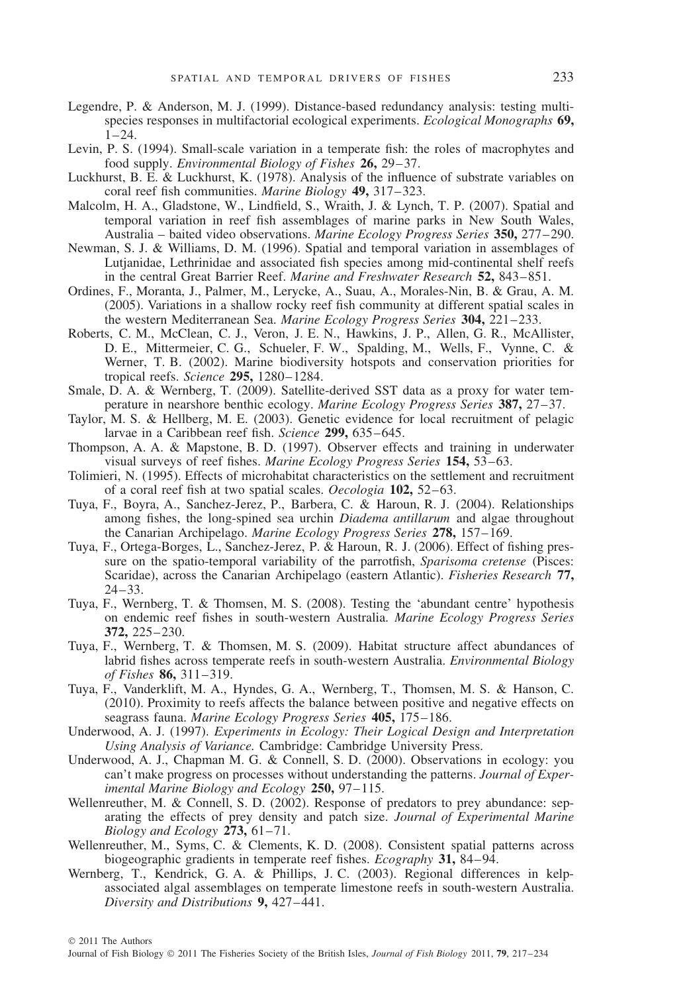- Legendre, P. & Anderson, M. J. (1999). Distance-based redundancy analysis: testing multispecies responses in multifactorial ecological experiments. *Ecological Monographs* **69,**  $1-24$ .
- Levin, P. S. (1994). Small-scale variation in a temperate fish: the roles of macrophytes and food supply. *Environmental Biology of Fishes* **26,** 29–37.
- Luckhurst, B. E. & Luckhurst, K. (1978). Analysis of the influence of substrate variables on coral reef fish communities. *Marine Biology* **49,** 317–323.
- Malcolm, H. A., Gladstone, W., Lindfield, S., Wraith, J. & Lynch, T. P. (2007). Spatial and temporal variation in reef fish assemblages of marine parks in New South Wales, Australia – baited video observations. *Marine Ecology Progress Series* **350,** 277–290.
- Newman, S. J. & Williams, D. M. (1996). Spatial and temporal variation in assemblages of Lutjanidae, Lethrinidae and associated fish species among mid-continental shelf reefs in the central Great Barrier Reef. *Marine and Freshwater Research* **52,** 843–851.
- Ordines, F., Moranta, J., Palmer, M., Lerycke, A., Suau, A., Morales-Nin, B. & Grau, A. M. (2005). Variations in a shallow rocky reef fish community at different spatial scales in the western Mediterranean Sea. *Marine Ecology Progress Series* **304,** 221–233.
- Roberts, C. M., McClean, C. J., Veron, J. E. N., Hawkins, J. P., Allen, G. R., McAllister, D. E., Mittermeier, C. G., Schueler, F. W., Spalding, M., Wells, F., Vynne, C. & Werner, T. B. (2002). Marine biodiversity hotspots and conservation priorities for tropical reefs. *Science* **295,** 1280–1284.
- Smale, D. A. & Wernberg, T. (2009). Satellite-derived SST data as a proxy for water temperature in nearshore benthic ecology. *Marine Ecology Progress Series* **387,** 27–37.
- Taylor, M. S. & Hellberg, M. E. (2003). Genetic evidence for local recruitment of pelagic larvae in a Caribbean reef fish. *Science* **299,** 635–645.
- Thompson, A. A. & Mapstone, B. D. (1997). Observer effects and training in underwater visual surveys of reef fishes. *Marine Ecology Progress Series* **154,** 53–63.
- Tolimieri, N. (1995). Effects of microhabitat characteristics on the settlement and recruitment of a coral reef fish at two spatial scales. *Oecologia* **102,** 52–63.
- Tuya, F., Boyra, A., Sanchez-Jerez, P., Barbera, C. & Haroun, R. J. (2004). Relationships among fishes, the long-spined sea urchin *Diadema antillarum* and algae throughout the Canarian Archipelago. *Marine Ecology Progress Series* **278,** 157–169.
- Tuya, F., Ortega-Borges, L., Sanchez-Jerez, P. & Haroun, R. J. (2006). Effect of fishing pressure on the spatio-temporal variability of the parrotfish, *Sparisoma cretense* (Pisces: Scaridae), across the Canarian Archipelago (eastern Atlantic). *Fisheries Research* **77,** 24–33.
- Tuya, F., Wernberg, T. & Thomsen, M. S. (2008). Testing the 'abundant centre' hypothesis on endemic reef fishes in south-western Australia. *Marine Ecology Progress Series* **372,** 225–230.
- Tuya, F., Wernberg, T. & Thomsen, M. S. (2009). Habitat structure affect abundances of labrid fishes across temperate reefs in south-western Australia. *Environmental Biology of Fishes* **86,** 311–319.
- Tuya, F., Vanderklift, M. A., Hyndes, G. A., Wernberg, T., Thomsen, M. S. & Hanson, C. (2010). Proximity to reefs affects the balance between positive and negative effects on seagrass fauna. *Marine Ecology Progress Series* **405,** 175–186.
- Underwood, A. J. (1997). *Experiments in Ecology: Their Logical Design and Interpretation Using Analysis of Variance.* Cambridge: Cambridge University Press.
- Underwood, A. J., Chapman M. G. & Connell, S. D. (2000). Observations in ecology: you can't make progress on processes without understanding the patterns. *Journal of Experimental Marine Biology and Ecology* **250,** 97–115.
- Wellenreuther, M. & Connell, S. D. (2002). Response of predators to prey abundance: separating the effects of prey density and patch size. *Journal of Experimental Marine Biology and Ecology* **273,** 61–71.
- Wellenreuther, M., Syms, C. & Clements, K. D. (2008). Consistent spatial patterns across biogeographic gradients in temperate reef fishes. *Ecography* **31,** 84–94.
- Wernberg, T., Kendrick, G. A. & Phillips, J. C. (2003). Regional differences in kelpassociated algal assemblages on temperate limestone reefs in south-western Australia. *Diversity and Distributions* **9,** 427–441.